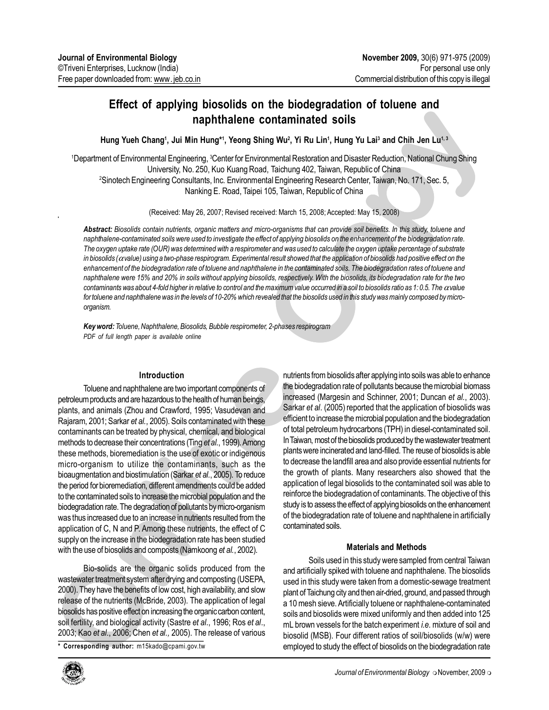# naphthalene contaminated soils

Hung Yueh Chang<sup>1</sup>, Jui Min Hung\*1, Yeong Shing Wu<sup>2</sup>, Yi Ru Lin<sup>1</sup>, Hung Yu Lai<sup>3</sup> and C<u>hih</u> Jen Lu<sup>1, 3</sup>

<sup>1</sup>Department of Environmental Engineering, <sup>3</sup>Center for Environmental Restoration and Disaster Reduction, National Chung Shing University, No. 250, Kuo Kuang Road, Taichung 402, Taiwan, Republic of China <sup>2</sup>Sinotech Engineering Consultants, Inc. Environmental Engineering Research Center, Taiwan, No. 171, Sec. 5, Nanking E. Road, Taipei 105, Taiwan, Republic of China

(Received: May 26, 2007; Revised received: March 15, 2008; Accepted: May 15, 2008)

**Contaminated Soils**<br>
ing Wu<sup>2</sup>, Yi Ru Lin<sup>1</sup>, Hung Yu Lai<sup>3</sup> and Chih Jen Lu<sup>1,3</sup><br>
commental Restoration and Disaster Reduction, National Chung Shing<br>
d, Taichung 402, Taiwan, Republic of China<br>
that Engineering Research Abstract: Biosolids contain nutrients, organic matters and micro-organisms that can provide soil benefits. In this study, toluene and naphthalene-contaminated soils were used to investigate the effect of applying biosolids on the enhancement of the biodegradation rate. The oxygen uptake rate (OUR) was determined with a respirometer and was used to calculate the oxygen uptake percentage of substrate in biosolids ( $\alpha$ value) using a two-phase respirogram. Experimental result showed that the application of biosolids had positive effect on the enhancement of the biodegradation rate of toluene and naphthalene in the contaminated soils. The biodegradation rates of toluene and naphthalene were 15% and 20% in soils without applying biosolids, respectively. With the biosolids, its biodegradation rate for the two contaminants was about 4-fold higher in relative to control and the maximum value occurred in a soil to biosolids ratio as 1: 0.5. The  $\alpha$  value for toluene and naphthalene was in the levels of 10-20% which revealed that the biosolids used in this study was mainly composed by microorganism.

Key word: Toluene, Naphthalene, Biosolids, Bubble respirometer, 2-phases respirogram PDF of full length paper is available online

# Introduction

Introduction<br>
Introduction<br>
Introduction<br>
Introduction<br>
Internation and are hazardous to the health of human beings,<br>
Increased (Mar<br>
Is (Zhou and Crawford, 1995; Vasudevan and<br>
Is (Zhou and Crawford, 1995; Vasudevan and<br> **Introduction**<br>
Toluene and naphthalene are two important components of<br>
the biodegradat<br>
petroleum products and are hazardous to the health of human beings,<br>
plants, and arimals (Zhou and Crawford, 1995; Vasudevan and<br>
S Effect of applying biosolids on the biodegradation of toluene and<br>
Hung's biosolids on the biodegradation of the control of the control of the control of the control of the control of the control of the control of the cont Toluene and naphthalene are two important components of petroleum products and are hazardous to the health of human beings, plants, and animals (Zhou and Crawford, 1995; Vasudevan and Rajaram, 2001; Sarkar et al., 2005). Soils contaminated with these contaminants can be treated by physical, chemical, and biological methods to decrease their concentrations (Ting et al., 1999). Among these methods, bioremediation is the use of exotic or indigenous micro-organism to utilize the contaminants, such as the bioaugmentation and biostimulation (Sarkar et al., 2005). To reduce the period for bioremediation, different amendments could be added to the contaminated soils to increase the microbial population and the biodegradation rate. The degradation of pollutants by micro-organism was thus increased due to an increase in nutrients resulted from the application of C, N and P. Among these nutrients, the effect of C supply on the increase in the biodegradation rate has been studied with the use of biosolids and composts (Namkoong et al., 2002).

Bio-solids are the org<br>wastewater treatment system aff<br>2000). They have the benefits of<br>release of the nutrients (McBric<br>biosolids has positive effect on ine<br>soil fertility, and biological activ<br>2003; Kao et al., 2006; Che Bio-solids are the organic solids produced from the wastewater treatment system after drying and composting (USEPA, 2000). They have the benefits of low cost, high availability, and slow release of the nutrients (McBride, 2003). The application of legal biosolids has positive effect on increasing the organic carbon content, soil fertility, and biological activity (Sastre et al., 1996; Ros et al., 2003; Kao et al., 2006; Chen et al., 2005). The release of various



nutrients from biosolids after applying into soils was able to enhance the biodegradation rate of pollutants because the microbial biomass increased (Margesin and Schinner, 2001; Duncan et al., 2003). Sarkar et al. (2005) reported that the application of biosolids was efficient to increase the microbial population and the biodegradation of total petroleum hydrocarbons (TPH) in diesel-contaminated soil. In Taiwan, most of the biosolids produced by the wastewater treatment plants were incinerated and land-filled. The reuse of biosolids is able to decrease the landfill area and also provide essential nutrients for the growth of plants. Many researchers also showed that the application of legal biosolids to the contaminated soil was able to reinforce the biodegradation of contaminants. The objective of this study is to assess the effect of applying biosolids on the enhancement of the biodegradation rate of toluene and naphthalene in artificially contaminated soils.

# Materials and Methods

Soils used in this study were sampled from central Taiwan and artificially spiked with toluene and naphthalene. The biosolids used in this study were taken from a domestic-sewage treatment plant of Taichung city and then air-dried, ground, and passed through a 10 mesh sieve. Artificially toluene or naphthalene-contaminated soils and biosolids were mixed uniformly and then added into 125 mL brown vessels for the batch experiment *i.e.* mixture of soil and biosolid (MSB). Four different ratios of soil/biosolids (w/w) were \* Corresponding author: m15kado@cpami.gov.tw employed to study the effect of biosolids on the biodegradation rate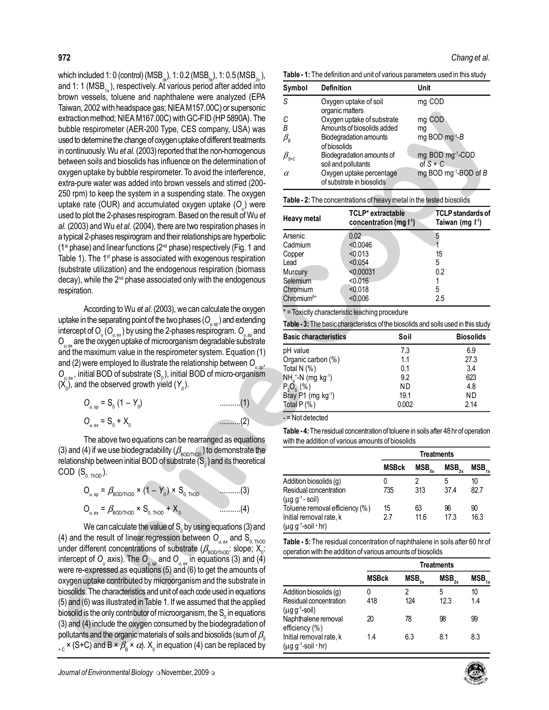972. The final of the state of the state of the state of the state of the state of the state of the state of the state of the state of the state of the state of the state of the state of the state of the state of the stat which included 1: 0 (control) (MSB<sub>x</sub>), 1: 0.2 (MSB<sub>sx</sub>), 1: 0.5 (MSB<sub>2x</sub>), and 1: 1 ( $MSB_{1x}$ ), respectively. At various period after added into brown vessels, toluene and naphthalene were analyzed (EPA Taiwan, 2002 with headspace gas; NIEA M157.00C) or supersonic extraction method; NIEA M167.00C) with GC-FID (HP 5890A). The bubble respirometer (AER-200 Type, CES company, USA) was used to determine the change of oxygen uptake of different treatments in continuously. Wu et al. (2003) reported that the non-homogenous between soils and biosolids has influence on the determination of oxygen uptake by bubble respirometer. To avoid the interference, extra-pure water was added into brown vessels and stirred (200- 250 rpm) to keep the system in a suspending state. The oxygen uptake rate (OUR) and accumulated oxygen uptake (O<sub>u</sub>) were used to plot the 2-phases respirogram. Based on the result of Wu et al. (2003) and Wu et al. (2004), there are two respiration phases in a typical 2-phases respirogram and their relationships are hyperbolic  $(1<sup>st</sup> phase)$  and linear functions  $(2<sup>nd</sup> phase)$  respectively (Fig. 1 and Table 1). The 1<sup>st</sup> phase is associated with exogenous respiration (substrate utilization) and the endogenous respiration (biomass decay), while the 2<sup>nd</sup> phase associated only with the endogenous respiration.

According to Wu et al. (2003), we can calculate the oxygen uptake in the separating point of the two phases ( $O_{_{\nu,\text{sp}}})$  and extending intercept of  ${\mathsf O}_{_\mathsf{u}}({\mathsf O}_{_\mathsf{u,ex}})$  by using the 2-phases respirogram.  ${\mathsf O}_{_\mathsf{u,sp}}$  and  $\mathsf{O}_{\mathsf{u},\mathsf{ex}}$  are the oxygen uptake of microorganism degradable substrate and the maximum value in the respirometer system. Equation (1) and (2) were employed to illustrate the relationship between  $\mathsf{O}_{_{\!u,\mathrm{sp}}}$ ,  $\mathsf{O}_{\scriptscriptstyle\mathsf{u},\mathsf{ex}},$  initial BOD of substrate (S<sub>0</sub>), initial BOD of micro-organism  $(\mathsf{X}_0)$ , and the observed growth yield  $(\mathsf{Y}_0)$ .

| $O_{u, sp} = S_0 (1 - Y_0)$ | . 11 |
|-----------------------------|------|
| $O_{u, ex} = S_0 + X_0$     |      |

The above two equations can be rearranged as equations (3) and (4) if we use biodegradability ( $\beta_{\text{BOD/ThOD}}$ ) to demonstrate the relationship between initial BOD of substrate (S $_{\scriptscriptstyle{0}}$  ) and its theoretical COD  $(S_{0. ThOD})$ .

Ou, sp = β BOD/ThOD × (1 – Y<sup>0</sup> ) × S0, ThOD ..........(3) Ou, ex = β BOD/ThOD × S0, ThOD + X<sup>0</sup> ..........(4)

intercept of  $O_u$  axis). The  $O_{u, sp}$  a<br>were re-expressed as equations<br>oxygen uptake contributed by mid-<br>biosolids. The characteristics and u<br>(5) and (6) was illustrated in Table<br>biosolid is the only contributor of m<br>(3) ed to illustrate the relationship between  $O_{u,sp}$ . Total N (%)<br>
substrate (S<sub>0</sub>), initial BOD of micro-organism<br>  $NH_1 \cdot N$  (mg kg<sup>-1</sup>)<br>
ed growth yield (Y<sub>0</sub>).<br>  $\frac{P_0 Q_0}{P_0 Q_0}$  (%)<br>  $\frac{P_1 Q_0}{P_0 Q_0}$  (%)<br>  $\frac{P_2 Q_$ and (2) were employed to illustrate the relationship between  $O_{u,v}$ . Total N (%)<br>  $O_{u,v}$ , mittel BOD of substrate (S<sub>c</sub>), initial BOD of micro-organism<br>
(X<sub>p</sub>), and the observed growth yield (Y<sub>p</sub>).<br>  $O_{u,v} = S_0$  (1 - Y<sub></sub> We can calculate the value of  $\mathsf{S}_{_{\scriptscriptstyle{0}}}$  by using equations (3) and (4) and the result of linear regression between  $O_{_{\nu,\,\mathrm{ex}}}$  and  $\rm{S}_{_{0,\,\mathrm{ThOD}}}$ under different concentrations of substrate ( $\beta_{\text{\tiny BOD/ThOD}}$ : slope; X<sub>0</sub>: intercept of  $O_{_{\!u}}$  axis). The  $O_{_{\!u,\, {\rm sp}}}$  and  $O_{_{\!u,\, {\rm ex}}}$  in equations (3) and (4) were re-expressed as equations (5) and (6) to get the amounts of oxygen uptake contributed by microorganism and the substrate in biosolids. The characteristics and unit of each code used in equations (5) and (6) was illustrated in Table 1. If we assumed that the applied biosolid is the only contributor of microorganism, the  $\mathsf{S}_{_{\scriptscriptstyle{0}}}$  in equations (3) and (4) include the oxygen consumed by the biodegradation of pollutants and the organic materials of soils and biosolids (sum of  $\beta_{\rm s}$  $_{+ \, {\rm c}}$  × (S+C) and B ×  $\beta_{\rm B}$  ×  $\alpha$ ).  ${\mathsf X}_{\rm 0}$  in equation (4) can be replaced by

Table - 1: The definition and unit of various parameters used in this study

| Symbol                            | <b>Definition</b>                                     | Unit                                       |
|-----------------------------------|-------------------------------------------------------|--------------------------------------------|
| S.                                | Oxygen uptake of soil<br>organic matters              | mg COD                                     |
| C                                 | Oxygen uptake of substrate                            | mg COD                                     |
| B                                 | Amounts of biosolids added                            | mg                                         |
| $\beta_{\rm B}$                   | Biodegradation amounts<br>of biosolids                | mg BOD mg <sup>-1</sup> -B                 |
| $\beta_{\textnormal{\tiny{S}+C}}$ | Biodegradation amounts of<br>soil and pollutants      | mg BOD mg <sup>-1</sup> -COD<br>of $S + C$ |
| α                                 | Oxygen uptake percentage<br>of substrate in biosolids | mg BOD mg <sup>-1</sup> -BOD of B          |

| <b>Table - 2:</b> The concentrations of heavy metal in the tested biosolids |  |  |
|-----------------------------------------------------------------------------|--|--|
|                                                                             |  |  |
|                                                                             |  |  |

| <b>Basic characteristics</b>      |                                                  | <b>Table - 3:</b> The basic characteristics of the biosolids and soils used in this study<br>Soil | <b>Biosolids</b>                                         |
|-----------------------------------|--------------------------------------------------|---------------------------------------------------------------------------------------------------|----------------------------------------------------------|
|                                   |                                                  |                                                                                                   |                                                          |
|                                   |                                                  | = Toxicity characteristic leaching procedure                                                      |                                                          |
| Chromium <sup>6+</sup>            | < 0.006                                          |                                                                                                   | 2.5                                                      |
| Chromium                          | < 0.018                                          |                                                                                                   | 5                                                        |
| Selemium                          | < 0.016                                          |                                                                                                   | 1                                                        |
| Murcury                           | < 0.00031                                        |                                                                                                   | 0.2                                                      |
| Lead                              | < 0.054                                          |                                                                                                   | 5                                                        |
| Copper                            | < 0.013                                          |                                                                                                   | 15                                                       |
| Cadmium                           | < 0.0046                                         |                                                                                                   |                                                          |
| Arsenic                           | 0.02                                             |                                                                                                   | 5                                                        |
| Heavy metal                       |                                                  | <b>TCLP*</b> extractable<br>concentration (mg $\mathsf{I}^1$ )                                    | <b>TCLP standards of</b><br>Taiwan (mg l <sup>-1</sup> ) |
|                                   |                                                  | <b>Table - 2:</b> The concentrations of heavy metal in the tested biosolids                       |                                                          |
|                                   | of substrate in biosolids                        |                                                                                                   |                                                          |
| $\alpha$                          | Oxygen uptake percentage                         |                                                                                                   | mg BOD mg <sup>-1</sup> -BOD of B                        |
| $\beta_{\textnormal{\tiny{S+C}}}$ | Biodegradation amounts of<br>soil and pollutants | of $S + C$                                                                                        | mg BOD mg <sup>-1</sup> -COD                             |
|                                   | of biosolids                                     |                                                                                                   |                                                          |
| $\beta_{\rm B}$                   | Biodegradation amounts                           |                                                                                                   | mg BOD mg <sup>-1</sup> -B                               |
| В                                 | Amounts of biosolids added                       | mg                                                                                                |                                                          |
|                                   | Oxygen uptake of substrate                       |                                                                                                   | mg COD                                                   |

|  | Table - 3: The basic characteristics of the biosolids and soils used in this study |  |  |  |  |  |  |
|--|------------------------------------------------------------------------------------|--|--|--|--|--|--|
|  |                                                                                    |  |  |  |  |  |  |

| <b>Basic characteristics</b>                                            | Soil  | <b>Biosolids</b> |
|-------------------------------------------------------------------------|-------|------------------|
| pH value                                                                | 7.3   | 6.9              |
| Organic carbon (%)                                                      | 1.1   | 27.3             |
| Total N $(%)$                                                           | 0.1   | 3.4              |
| $NH_4^+$ -N (mg kg <sup>-1</sup> )<br>P <sub>2</sub> O <sub>5</sub> (%) | 9.2   | 623              |
|                                                                         | ΝD    | 4.8              |
| Bray P1 (mg $kg^{-1}$ )                                                 | 19.1  | ΝD               |
| Total $P$ $%$ )                                                         | 0.002 | 2.14             |

- = Not detected

Table - 4: The residual concentration of toluene in soils after 48 hr of operation with the addition of various amounts of biosolids

|                                                        | Treatments   |                     |      |      |  |
|--------------------------------------------------------|--------------|---------------------|------|------|--|
|                                                        | <b>MSBck</b> | $\mathsf{MSB}_{5x}$ | MSB. | MSB, |  |
| Addition biosolids (g)                                 |              |                     | 5    | 10   |  |
| Residual concentration<br>$(\mu g g^{-1}$ -soil)       | 735          | 313                 | 37.4 | 82.7 |  |
| Toluene removal efficiency (%)                         | 15           | 63                  | 96   | 90   |  |
| Initial removal rate, k<br>$(\mu g g^{-1}$ -soil · hr) | 2.7          | 11.6                | 17.3 | 16.3 |  |

Table - 5: The residual concentration of naphthalene in soils after 60 hr of operation with the addition of various amounts of biosolids

|                                                        | <b>Treatments</b> |            |            |            |  |
|--------------------------------------------------------|-------------------|------------|------------|------------|--|
|                                                        | <b>MSBck</b>      | $MSB_{5x}$ | $MSB_{2x}$ | $MSB_{1x}$ |  |
| Addition biosolids (g)                                 | 0                 | 2          | 5          | 10         |  |
| Residual concentration<br>$(\mu q q^{-1}$ -soil)       | 418               | 124        | 12.3       | 14         |  |
| Naphthalene removal<br>efficiency (%)                  | 20                | 78         | 98         | 99         |  |
| Initial removal rate, k<br>$(\mu g g^{-1}$ -soil · hr) | 1.4               | 6.3        | 8.1        | 8.3        |  |

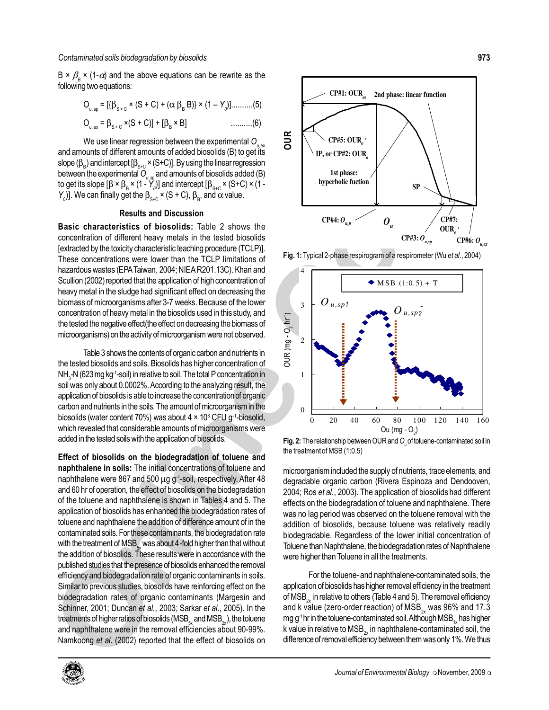B ×  $\beta_{\text{\tiny B}}$  × (1- $\alpha$ ) and the above equations can be rewrite as the following two equations:

$$
O_{u, sp} = [\{\beta_{s+c} \times (S + C) + (\alpha \beta_B B)\} \times (1 - Y_0)] \dots (5)
$$
  

$$
O_{u, ex} = \beta_{s+c} \times (S + C) + [\beta_B \times B] \dots (6)
$$

We use linear regression between the experimental  $O_{u,ex}$ and amounts of different amounts of added biosolids (B) to get its slope  $(\beta_{_{\rm B}})$  and intercept [ $\beta_{_{\rm S+C}}$  × (S+C)]. By using the linear regression between the experimental  $O_{_{\mathit{U},\, \mathfrak{P}}}$  and amounts of biosolids added (B) to get its slope [β × β $_{\rm B}$  × (1 - Y $_{\rm o}$ )] and intercept [β $_{\rm S+C}$  × (S+C) × (1 - $Y_{0}$ ]. We can finally get the β<sub>s+c</sub> × (S + C), β<sub>B</sub>, and  $\alpha$  value.

## Results and Discussion

Basic characteristics of biosolids: Table 2 shows the concentration of different heavy metals in the tested biosolids [extracted by the toxicity characteristic leaching procedure (TCLP)]. These concentrations were lower than the TCLP limitations of hazardous wastes (EPA Taiwan, 2004; NIEA R201.13C). Khan and Scullion (2002) reported that the application of high concentration of heavy metal in the sludge had significant effect on decreasing the biomass of microorganisms after 3-7 weeks. Because of the lower concentration of heavy metal in the biosolids used in this study, and the tested the negative effect(the effect on decreasing the biomass of microorganisms) on the activity of microorganism were not observed.

Table 3 shows the contents of organic carbon and nutrients in the tested biosolids and soils. Biosolids has higher concentration of NH $_{\tiny 3}$ -N (623 mg kg<sup>-1</sup>-soil) in relative to soil. The total P concentration in soil was only about 0.0002%. According to the analyzing result, the application of biosolids is able to increase the concentration of organic carbon and nutrients in the soils. The amount of microorganism in the biosolids (water content 70%) was about  $4 \times 10^8$  CFU g<sup>-1</sup>-biosolid, which revealed that considerable amounts of microorganisms were added in the tested soils with the application of biosolids.

the addition of biosolids. These is<br>published studies that the presence<br>fficiency and biodegradation ra<br>Similar to previous studies, bios<br>biodegradation rates of organ<br>Schinner, 2001; Duncan et al.,<br>treatments of higherrat and soils. Biosolids has higher concentration of<br>  $\overline{0}$ <br>  $\overline{1}$  -soil) in relative to soil. The total P concentration in<br>  $0.0002\%$ . According to the analyzing result, the<br>
ids is able to increase the concentration o the tested biosolids and soils. Biosolids has higher concentration of<br>
NH<sub>3</sub> M(623 mg Kg<sup>-1</sup>soli) invelative to soil. The total P concentration of<br>
soil was only about 0.0002%. According to the analyzing result, the<br>
appl Conservation compared and the solid of the solid contamination by biodegradation by biological contamination by biodegradation by biodegradation by biodegradation by biological contamination by biodegradation by biologica Effect of biosolids on the biodegradation of toluene and naphthalene in soils: The initial concentrations of toluene and naphthalene were 867 and 500 µg g<sup>-1</sup>-soil, respectively. After 48 and 60 hr of operation, the effect of biosolids on the biodegradation of the toluene and naphthalene is shown in Tables 4 and 5. The application of biosolids has enhanced the biodegradation rates of toluene and naphthalene the addition of difference amount of in the contaminated soils. For these contaminants, the biodegradation rate with the treatment of MSB<sub>5</sub> was about 4-fold higher than that without the addition of biosolids. These results were in accordance with the published studies that the presence of biosolids enhanced the removal efficiency and biodegradation rate of organic contaminants in soils. Similar to previous studies, biosolids have reinforcing effect on the biodegradation rates of organic contaminants (Margesin and Schinner, 2001; Duncan et al., 2003; Sarkar et al., 2005). In the treatments of higher ratios of biosolids ( $MSB<sub>ex</sub>$  and  $MSB<sub>ex</sub>$ ), the toluene and naphthalene were in the removal efficiencies about 90-99%. Namkoong et al. (2002) reported that the effect of biosolids on



Fig. 1: Typical 2-phase respirogram of a respirometer (Wu et al., 2004)



**Fig. 2:** The relationship between OUR and  $O_{\theta}$  of toluene-contaminated soil in the treatment of MSB (1:0.5)

microorganism included the supply of nutrients, trace elements, and degradable organic carbon (Rivera Espinoza and Dendooven, 2004; Ros et al., 2003). The application of biosolids had different effects on the biodegradation of toluene and naphthalene. There was no lag period was observed on the toluene removal with the addition of biosolids, because toluene was relatively readily biodegradable. Regardless of the lower initial concentration of Toluene than Naphthalene, the biodegradation rates of Naphthalene were higher than Toluene in all the treatments.

For the toluene- and naphthalene-contaminated soils, the application of biosolids has higher removal efficiency in the treatment of MSB<sub>2</sub> in relative to others (Table 4 and 5). The removal efficiency and k value (zero-order reaction) of  $MSB_{2x}$  was 96% and 17.3 mg g<sup>-1</sup> hr in the toluene-contaminated soil. Although  $MSB_{1}$  has higher k value in relative to  $MSB_{2x}$  in naphthalene-contaminated soil, the difference of removal efficiency between them was only 1%. We thus

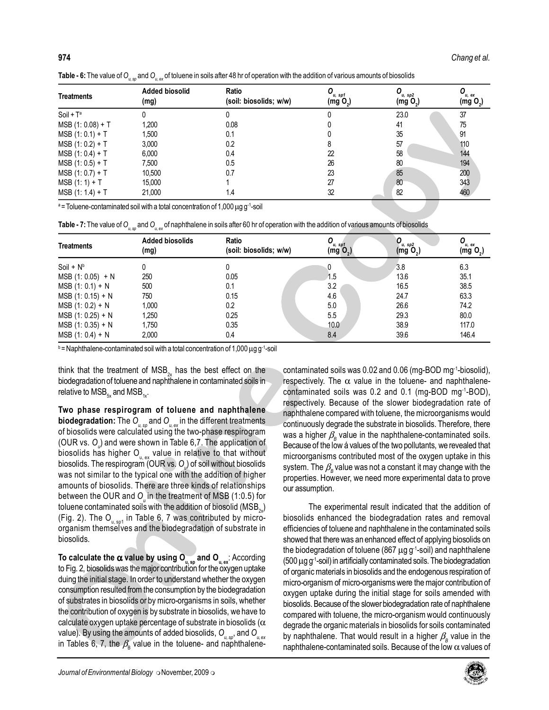|  | Table - 6: The value of O and O of toluene in soils after 48 hr of operation with the addition of various amounts of biosolids |  |
|--|--------------------------------------------------------------------------------------------------------------------------------|--|
|  |                                                                                                                                |  |

| <b>Treatments</b>   | <b>Added biosolid</b><br>(mg) | Ratio<br>(soil: biosolids; w/w) | u, sp1<br>(mg O <sub>2</sub> ) | u, sp2<br>(mg O <sub>2</sub> ) | $O_{u, ex}$<br>(mg O <sub>2</sub> ) |
|---------------------|-------------------------------|---------------------------------|--------------------------------|--------------------------------|-------------------------------------|
| $S$ oil + $T^a$     |                               |                                 |                                | 23.0                           | 37                                  |
| $MSB (1: 0.08) + T$ | 1.200                         | 0.08                            |                                | 41                             | 75                                  |
| $MSB (1: 0.1) + T$  | 1.500                         | 0.1                             |                                | 35                             | 91                                  |
| $MSB (1: 0.2) + T$  | 3,000                         | 0.2                             |                                | 57                             | 110                                 |
| $MSB (1: 0.4) + T$  | 6,000                         | 0.4                             | 22                             | 58                             | 144                                 |
| $MSB (1: 0.5) + T$  | 7,500                         | 0.5                             | 26                             | 80                             | 194                                 |
| $MSB (1: 0.7) + T$  | 10,500                        | 0.7                             | 23                             | 85                             | 200                                 |
| $MSB (1:1) + T$     | 15,000                        |                                 | 27                             | 80                             | 343                                 |
| $MSB (1: 1.4) + T$  | 21,000                        | 1.4                             | 32                             | 82                             | 460                                 |

| $MSB (1: 0.08) + T$<br>$MSB (1: 0.1) + T$<br>$MSB (1: 0.2) + T$                                                                                                                                                                                                                                                                                                                                                                                                                                                                                                                                                                                                                                                                                                                                                                                                                                                                                                                                                                                                                                                                                                                                                                                                                                                                                                                                                                                                                                                                                                                                                                                                                                                                                                                                                                                                                                                                                                                                                                                                                                                                                                                                                                                                                                                                                                                                                                                                                                                                                                                                                                                                                                                                                                                                                                                                                                                                                                                                                                                                                                                                                                                                                                                                                                                                                                                                                                                                                                                                                                                                                                                  | 1,200<br>1,500                                                                                                                                       | 0.08<br>0.1            |  | 0                       | 41                      | 75                       |  |  |  |  |
|--------------------------------------------------------------------------------------------------------------------------------------------------------------------------------------------------------------------------------------------------------------------------------------------------------------------------------------------------------------------------------------------------------------------------------------------------------------------------------------------------------------------------------------------------------------------------------------------------------------------------------------------------------------------------------------------------------------------------------------------------------------------------------------------------------------------------------------------------------------------------------------------------------------------------------------------------------------------------------------------------------------------------------------------------------------------------------------------------------------------------------------------------------------------------------------------------------------------------------------------------------------------------------------------------------------------------------------------------------------------------------------------------------------------------------------------------------------------------------------------------------------------------------------------------------------------------------------------------------------------------------------------------------------------------------------------------------------------------------------------------------------------------------------------------------------------------------------------------------------------------------------------------------------------------------------------------------------------------------------------------------------------------------------------------------------------------------------------------------------------------------------------------------------------------------------------------------------------------------------------------------------------------------------------------------------------------------------------------------------------------------------------------------------------------------------------------------------------------------------------------------------------------------------------------------------------------------------------------------------------------------------------------------------------------------------------------------------------------------------------------------------------------------------------------------------------------------------------------------------------------------------------------------------------------------------------------------------------------------------------------------------------------------------------------------------------------------------------------------------------------------------------------------------------------------------------------------------------------------------------------------------------------------------------------------------------------------------------------------------------------------------------------------------------------------------------------------------------------------------------------------------------------------------------------------------------------------------------------------------------------------------------------|------------------------------------------------------------------------------------------------------------------------------------------------------|------------------------|--|-------------------------|-------------------------|--------------------------|--|--|--|--|
|                                                                                                                                                                                                                                                                                                                                                                                                                                                                                                                                                                                                                                                                                                                                                                                                                                                                                                                                                                                                                                                                                                                                                                                                                                                                                                                                                                                                                                                                                                                                                                                                                                                                                                                                                                                                                                                                                                                                                                                                                                                                                                                                                                                                                                                                                                                                                                                                                                                                                                                                                                                                                                                                                                                                                                                                                                                                                                                                                                                                                                                                                                                                                                                                                                                                                                                                                                                                                                                                                                                                                                                                                                                  |                                                                                                                                                      |                        |  |                         |                         |                          |  |  |  |  |
|                                                                                                                                                                                                                                                                                                                                                                                                                                                                                                                                                                                                                                                                                                                                                                                                                                                                                                                                                                                                                                                                                                                                                                                                                                                                                                                                                                                                                                                                                                                                                                                                                                                                                                                                                                                                                                                                                                                                                                                                                                                                                                                                                                                                                                                                                                                                                                                                                                                                                                                                                                                                                                                                                                                                                                                                                                                                                                                                                                                                                                                                                                                                                                                                                                                                                                                                                                                                                                                                                                                                                                                                                                                  |                                                                                                                                                      |                        |  | 0                       | 35                      | 91                       |  |  |  |  |
|                                                                                                                                                                                                                                                                                                                                                                                                                                                                                                                                                                                                                                                                                                                                                                                                                                                                                                                                                                                                                                                                                                                                                                                                                                                                                                                                                                                                                                                                                                                                                                                                                                                                                                                                                                                                                                                                                                                                                                                                                                                                                                                                                                                                                                                                                                                                                                                                                                                                                                                                                                                                                                                                                                                                                                                                                                                                                                                                                                                                                                                                                                                                                                                                                                                                                                                                                                                                                                                                                                                                                                                                                                                  | 3,000                                                                                                                                                | 0.2                    |  | 8                       | 57                      | 110                      |  |  |  |  |
| $MSB (1: 0.4) + T$                                                                                                                                                                                                                                                                                                                                                                                                                                                                                                                                                                                                                                                                                                                                                                                                                                                                                                                                                                                                                                                                                                                                                                                                                                                                                                                                                                                                                                                                                                                                                                                                                                                                                                                                                                                                                                                                                                                                                                                                                                                                                                                                                                                                                                                                                                                                                                                                                                                                                                                                                                                                                                                                                                                                                                                                                                                                                                                                                                                                                                                                                                                                                                                                                                                                                                                                                                                                                                                                                                                                                                                                                               | 6,000                                                                                                                                                | 0.4                    |  | $\mathbf{22}$           | 58                      | 144                      |  |  |  |  |
| $MSB (1: 0.5) + T$                                                                                                                                                                                                                                                                                                                                                                                                                                                                                                                                                                                                                                                                                                                                                                                                                                                                                                                                                                                                                                                                                                                                                                                                                                                                                                                                                                                                                                                                                                                                                                                                                                                                                                                                                                                                                                                                                                                                                                                                                                                                                                                                                                                                                                                                                                                                                                                                                                                                                                                                                                                                                                                                                                                                                                                                                                                                                                                                                                                                                                                                                                                                                                                                                                                                                                                                                                                                                                                                                                                                                                                                                               | 7,500                                                                                                                                                | 0.5                    |  | 26                      | 80                      | 194                      |  |  |  |  |
| $MSB (1: 0.7) + T$                                                                                                                                                                                                                                                                                                                                                                                                                                                                                                                                                                                                                                                                                                                                                                                                                                                                                                                                                                                                                                                                                                                                                                                                                                                                                                                                                                                                                                                                                                                                                                                                                                                                                                                                                                                                                                                                                                                                                                                                                                                                                                                                                                                                                                                                                                                                                                                                                                                                                                                                                                                                                                                                                                                                                                                                                                                                                                                                                                                                                                                                                                                                                                                                                                                                                                                                                                                                                                                                                                                                                                                                                               | 10,500                                                                                                                                               | 0.7                    |  | 23                      | 85                      | 200                      |  |  |  |  |
| $MSB (1:1) + T$                                                                                                                                                                                                                                                                                                                                                                                                                                                                                                                                                                                                                                                                                                                                                                                                                                                                                                                                                                                                                                                                                                                                                                                                                                                                                                                                                                                                                                                                                                                                                                                                                                                                                                                                                                                                                                                                                                                                                                                                                                                                                                                                                                                                                                                                                                                                                                                                                                                                                                                                                                                                                                                                                                                                                                                                                                                                                                                                                                                                                                                                                                                                                                                                                                                                                                                                                                                                                                                                                                                                                                                                                                  | 15,000                                                                                                                                               | 1                      |  | $27$                    | 80                      | 343                      |  |  |  |  |
| $MSB (1: 1.4) + T$                                                                                                                                                                                                                                                                                                                                                                                                                                                                                                                                                                                                                                                                                                                                                                                                                                                                                                                                                                                                                                                                                                                                                                                                                                                                                                                                                                                                                                                                                                                                                                                                                                                                                                                                                                                                                                                                                                                                                                                                                                                                                                                                                                                                                                                                                                                                                                                                                                                                                                                                                                                                                                                                                                                                                                                                                                                                                                                                                                                                                                                                                                                                                                                                                                                                                                                                                                                                                                                                                                                                                                                                                               | 21,000                                                                                                                                               | 1.4                    |  | 32                      | 82                      | 460                      |  |  |  |  |
| <sup>a</sup> = Toluene-contaminated soil with a total concentration of 1,000 $\mu$ g g <sup>-1</sup> -soil                                                                                                                                                                                                                                                                                                                                                                                                                                                                                                                                                                                                                                                                                                                                                                                                                                                                                                                                                                                                                                                                                                                                                                                                                                                                                                                                                                                                                                                                                                                                                                                                                                                                                                                                                                                                                                                                                                                                                                                                                                                                                                                                                                                                                                                                                                                                                                                                                                                                                                                                                                                                                                                                                                                                                                                                                                                                                                                                                                                                                                                                                                                                                                                                                                                                                                                                                                                                                                                                                                                                       |                                                                                                                                                      |                        |  |                         |                         |                          |  |  |  |  |
|                                                                                                                                                                                                                                                                                                                                                                                                                                                                                                                                                                                                                                                                                                                                                                                                                                                                                                                                                                                                                                                                                                                                                                                                                                                                                                                                                                                                                                                                                                                                                                                                                                                                                                                                                                                                                                                                                                                                                                                                                                                                                                                                                                                                                                                                                                                                                                                                                                                                                                                                                                                                                                                                                                                                                                                                                                                                                                                                                                                                                                                                                                                                                                                                                                                                                                                                                                                                                                                                                                                                                                                                                                                  | Table - 7: The value of $O_{u,ss}$ and $O_{u,ss}$ of naphthalene in soils after 60 hr of operation with the addition of various amounts of biosolids |                        |  |                         |                         |                          |  |  |  |  |
| <b>Treatments</b>                                                                                                                                                                                                                                                                                                                                                                                                                                                                                                                                                                                                                                                                                                                                                                                                                                                                                                                                                                                                                                                                                                                                                                                                                                                                                                                                                                                                                                                                                                                                                                                                                                                                                                                                                                                                                                                                                                                                                                                                                                                                                                                                                                                                                                                                                                                                                                                                                                                                                                                                                                                                                                                                                                                                                                                                                                                                                                                                                                                                                                                                                                                                                                                                                                                                                                                                                                                                                                                                                                                                                                                                                                | <b>Added biosolids</b>                                                                                                                               | Ratio                  |  | $O_{u, sp1}$            | $O_{u, sp2}$            | $\bm{O}_{u, \text{ ex}}$ |  |  |  |  |
|                                                                                                                                                                                                                                                                                                                                                                                                                                                                                                                                                                                                                                                                                                                                                                                                                                                                                                                                                                                                                                                                                                                                                                                                                                                                                                                                                                                                                                                                                                                                                                                                                                                                                                                                                                                                                                                                                                                                                                                                                                                                                                                                                                                                                                                                                                                                                                                                                                                                                                                                                                                                                                                                                                                                                                                                                                                                                                                                                                                                                                                                                                                                                                                                                                                                                                                                                                                                                                                                                                                                                                                                                                                  | (mg)                                                                                                                                                 | (soil: biosolids; w/w) |  | $(mg'$ O <sub>2</sub> ) | $(mg'$ O <sub>2</sub> ) | (mg O <sub>2</sub> )     |  |  |  |  |
| Soil + $N^b$                                                                                                                                                                                                                                                                                                                                                                                                                                                                                                                                                                                                                                                                                                                                                                                                                                                                                                                                                                                                                                                                                                                                                                                                                                                                                                                                                                                                                                                                                                                                                                                                                                                                                                                                                                                                                                                                                                                                                                                                                                                                                                                                                                                                                                                                                                                                                                                                                                                                                                                                                                                                                                                                                                                                                                                                                                                                                                                                                                                                                                                                                                                                                                                                                                                                                                                                                                                                                                                                                                                                                                                                                                     | 0                                                                                                                                                    | 0                      |  | 0                       | 3.8                     | 6.3                      |  |  |  |  |
| $MSB (1: 0.05) + N$                                                                                                                                                                                                                                                                                                                                                                                                                                                                                                                                                                                                                                                                                                                                                                                                                                                                                                                                                                                                                                                                                                                                                                                                                                                                                                                                                                                                                                                                                                                                                                                                                                                                                                                                                                                                                                                                                                                                                                                                                                                                                                                                                                                                                                                                                                                                                                                                                                                                                                                                                                                                                                                                                                                                                                                                                                                                                                                                                                                                                                                                                                                                                                                                                                                                                                                                                                                                                                                                                                                                                                                                                              | 250                                                                                                                                                  | 0.05                   |  | 1.5                     | 13.6                    | 35.1                     |  |  |  |  |
| $MSB$ (1: 0.1) + N                                                                                                                                                                                                                                                                                                                                                                                                                                                                                                                                                                                                                                                                                                                                                                                                                                                                                                                                                                                                                                                                                                                                                                                                                                                                                                                                                                                                                                                                                                                                                                                                                                                                                                                                                                                                                                                                                                                                                                                                                                                                                                                                                                                                                                                                                                                                                                                                                                                                                                                                                                                                                                                                                                                                                                                                                                                                                                                                                                                                                                                                                                                                                                                                                                                                                                                                                                                                                                                                                                                                                                                                                               | 500                                                                                                                                                  | 0.1                    |  | 3.2                     | 16.5                    | 38.5                     |  |  |  |  |
| $MSB$ (1: 0.15) + N                                                                                                                                                                                                                                                                                                                                                                                                                                                                                                                                                                                                                                                                                                                                                                                                                                                                                                                                                                                                                                                                                                                                                                                                                                                                                                                                                                                                                                                                                                                                                                                                                                                                                                                                                                                                                                                                                                                                                                                                                                                                                                                                                                                                                                                                                                                                                                                                                                                                                                                                                                                                                                                                                                                                                                                                                                                                                                                                                                                                                                                                                                                                                                                                                                                                                                                                                                                                                                                                                                                                                                                                                              | 750                                                                                                                                                  | 0.15                   |  | 4.6                     | 24.7                    | 63.3                     |  |  |  |  |
| $MSB (1: 0.2) + N$                                                                                                                                                                                                                                                                                                                                                                                                                                                                                                                                                                                                                                                                                                                                                                                                                                                                                                                                                                                                                                                                                                                                                                                                                                                                                                                                                                                                                                                                                                                                                                                                                                                                                                                                                                                                                                                                                                                                                                                                                                                                                                                                                                                                                                                                                                                                                                                                                                                                                                                                                                                                                                                                                                                                                                                                                                                                                                                                                                                                                                                                                                                                                                                                                                                                                                                                                                                                                                                                                                                                                                                                                               | 1,000                                                                                                                                                | 0.2                    |  | 5.0                     | 26.6                    | 74.2                     |  |  |  |  |
| $MSB$ (1: 0.25) + N                                                                                                                                                                                                                                                                                                                                                                                                                                                                                                                                                                                                                                                                                                                                                                                                                                                                                                                                                                                                                                                                                                                                                                                                                                                                                                                                                                                                                                                                                                                                                                                                                                                                                                                                                                                                                                                                                                                                                                                                                                                                                                                                                                                                                                                                                                                                                                                                                                                                                                                                                                                                                                                                                                                                                                                                                                                                                                                                                                                                                                                                                                                                                                                                                                                                                                                                                                                                                                                                                                                                                                                                                              | 1,250                                                                                                                                                | 0.25                   |  | 5.5                     | 29.3                    | 80.0                     |  |  |  |  |
| $MSB (1: 0.35) + N$                                                                                                                                                                                                                                                                                                                                                                                                                                                                                                                                                                                                                                                                                                                                                                                                                                                                                                                                                                                                                                                                                                                                                                                                                                                                                                                                                                                                                                                                                                                                                                                                                                                                                                                                                                                                                                                                                                                                                                                                                                                                                                                                                                                                                                                                                                                                                                                                                                                                                                                                                                                                                                                                                                                                                                                                                                                                                                                                                                                                                                                                                                                                                                                                                                                                                                                                                                                                                                                                                                                                                                                                                              | 1,750                                                                                                                                                | 0.35                   |  | 10.0                    | 38.9                    | 117.0                    |  |  |  |  |
| $MSB (1: 0.4) + N$                                                                                                                                                                                                                                                                                                                                                                                                                                                                                                                                                                                                                                                                                                                                                                                                                                                                                                                                                                                                                                                                                                                                                                                                                                                                                                                                                                                                                                                                                                                                                                                                                                                                                                                                                                                                                                                                                                                                                                                                                                                                                                                                                                                                                                                                                                                                                                                                                                                                                                                                                                                                                                                                                                                                                                                                                                                                                                                                                                                                                                                                                                                                                                                                                                                                                                                                                                                                                                                                                                                                                                                                                               | 2,000                                                                                                                                                | 0.4                    |  | 8.4                     | 39.6                    | 146.4                    |  |  |  |  |
|                                                                                                                                                                                                                                                                                                                                                                                                                                                                                                                                                                                                                                                                                                                                                                                                                                                                                                                                                                                                                                                                                                                                                                                                                                                                                                                                                                                                                                                                                                                                                                                                                                                                                                                                                                                                                                                                                                                                                                                                                                                                                                                                                                                                                                                                                                                                                                                                                                                                                                                                                                                                                                                                                                                                                                                                                                                                                                                                                                                                                                                                                                                                                                                                                                                                                                                                                                                                                                                                                                                                                                                                                                                  |                                                                                                                                                      |                        |  |                         |                         |                          |  |  |  |  |
| b = Naphthalene-contaminated soil with a total concentration of 1,000 $\mu$ g g <sup>-1</sup> -soil<br>think that the treatment of $MSB_{2x}$ has the best effect on the<br>contaminated soils was 0.02 and 0.06 (mg-BOD mg <sup>-1</sup> -biosolid),<br>biodegradation of toluene and naphthalene in contaminated soils in<br>respectively. The $\alpha$ value in the toluene- and naphthalene-<br>relative to $MSB_{5x}$ and $MSB_{1x}$ .<br>contaminated soils was 0.2 and 0.1 (mg-BOD mg <sup>-1</sup> -BOD),<br>respectively. Because of the slower biodegradation rate of<br>Two phase respirogram of toluene and naphthalene<br>naphthalene compared with toluene, the microorganisms would<br><b>biodegradation:</b> The $O_{u,sp}$ and $O_{u,ex}$ in the different treatments<br>continuously degrade the substrate in biosolids. Therefore, there<br>of biosolids were calculated using the two-phase respirogram<br>was a higher $\beta_{\rm B}$ value in the naphthalene-contaminated soils.<br>(OUR vs. O <sub>n</sub> ) and were shown in Table 6,7. The application of<br>Because of the low á values of the two pollutants, we revealed that<br>biosolids has higher $O_{\textrm{\tiny u, ex}}$ value in relative to that without<br>microorganisms contributed most of the oxygen uptake in this<br>biosolids. The respirogram (OUR vs. O ) of soil without biosolids<br>system. The $\beta_{\rm g}$ value was not a constant it may change with the<br>was not similar to the typical one with the addition of higher<br>properties. However, we need more experimental data to prove<br>amounts of biosolids. There are three kinds of relationships<br>our assumption.<br>between the OUR and $O_{v}$ in the treatment of MSB (1:0.5) for<br>toluene contaminated soils with the addition of biosolid (MSB <sub>2</sub> )<br>The experimental result indicated that the addition of<br>(Fig. 2). The $O_{u,sp1}$ in Table 6, 7 was contributed by micro-<br>biosolids enhanced the biodegradation rates and removal<br>organism themselves and the biodegradation of substrate in<br>efficiencies of toluene and naphthalene in the contaminated soils<br>biosolids.<br>showed that there was an enhanced effect of applying biosolids on<br>the biodegradation of toluene (867 $\mu$ g g <sup>-1</sup> -soil) and naphthalene<br>To calculate the $\alpha$ value by using $O_{u,sp}^-$ and $O_{u,ex}^-$ : According<br>$(500 \,\mu g \, g^{-1}$ -soil) in artificially contaminated soils. The biodegradation<br>to Fig. 2, biosolids was the major contribution for the oxygen uptake<br>of organic materials in biosolids and the endogenous respiration of<br>duing the initial stage. In order to understand whether the oxygen<br>micro-organism of micro-organisms were the major contribution of<br>consumption resulted from the consumption by the biodegradation<br>oxygen uptake during the initial stage for soils amended with<br>of substrates in biosolids or by micro-organisms in soils, whether<br>biosolids. Because of the slower biodegradation rate of naphthalene<br>the contribution of oxygen is by substrate in biosolids, we have to<br>compared with toluene, the micro-organism would continuously<br>calculate oxygen uptake percentage of substrate in biosolids ( $\alpha$<br>degrade the organic materials in biosolids for soils contaminated<br>value). By using the amounts of added biosolids, $O_{u,sp}$ , and $O_{u,ex}$<br>by naphthalene. That would result in a higher $\beta_{\rm g}$ value in the<br>in Tables 6, 7, the $\beta_{\rm B}$ value in the toluene- and naphthalene- |                                                                                                                                                      |                        |  |                         |                         |                          |  |  |  |  |